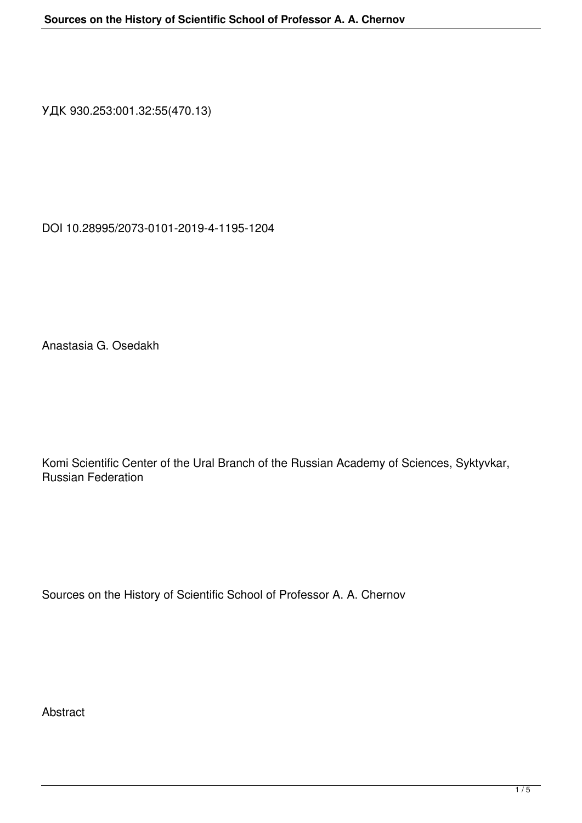УДК 930.253:001.32:55(470.13)

DOI 10.28995/2073-0101-2019-4-1195-1204

Anastasia G. Osedakh

Komi Scientific Center of the Ural Branch of the Russian Academy of Sciences, Syktyvkar, Russian Federation

Sources on the History of Scientific School of Professor A. A. Chernov

Abstract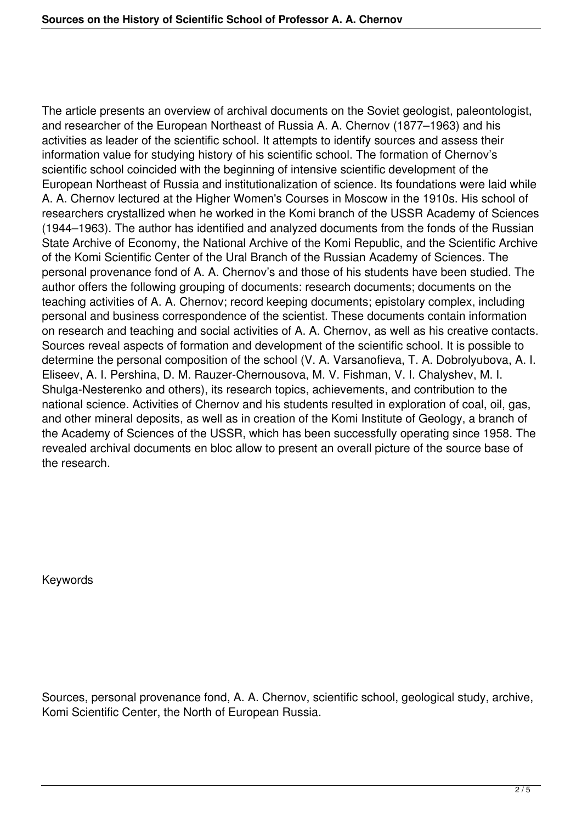The article presents an overview of archival documents on the Soviet geologist, paleontologist, and researcher of the European Northeast of Russia A. A. Chernov (1877–1963) and his activities as leader of the scientific school. It attempts to identify sources and assess their information value for studying history of his scientific school. The formation of Chernov's scientific school coincided with the beginning of intensive scientific development of the European Northeast of Russia and institutionalization of science. Its foundations were laid while A. A. Chernov lectured at the Higher Women's Courses in Moscow in the 1910s. His school of researchers crystallized when he worked in the Komi branch of the USSR Academy of Sciences (1944–1963). The author has identified and analyzed documents from the fonds of the Russian State Archive of Economy, the National Archive of the Komi Republic, and the Scientific Archive of the Komi Scientific Center of the Ural Branch of the Russian Academy of Sciences. The personal provenance fond of A. A. Chernov's and those of his students have been studied. The author offers the following grouping of documents: research documents; documents on the teaching activities of A. A. Chernov; record keeping documents; epistolary complex, including personal and business correspondence of the scientist. These documents contain information on research and teaching and social activities of A. A. Chernov, as well as his creative contacts. Sources reveal aspects of formation and development of the scientific school. It is possible to determine the personal composition of the school (V. A. Varsanofieva, T. A. Dobrolyubova, A. I. Eliseev, A. I. Pershina, D. M. Rauzer-Chernousova, M. V. Fishman, V. I. Chalyshev, M. I. Shulga-Nesterenko and others), its research topics, achievements, and contribution to the national science. Activities of Chernov and his students resulted in exploration of coal, oil, gas, and other mineral deposits, as well as in creation of the Komi Institute of Geology, a branch of the Academy of Sciences of the USSR, which has been successfully operating since 1958. The revealed archival documents en bloc allow to present an overall picture of the source base of the research.

Keywords

Sources, personal provenance fond, A. A. Chernov, scientific school, geological study, archive, Komi Scientific Center, the North of European Russia.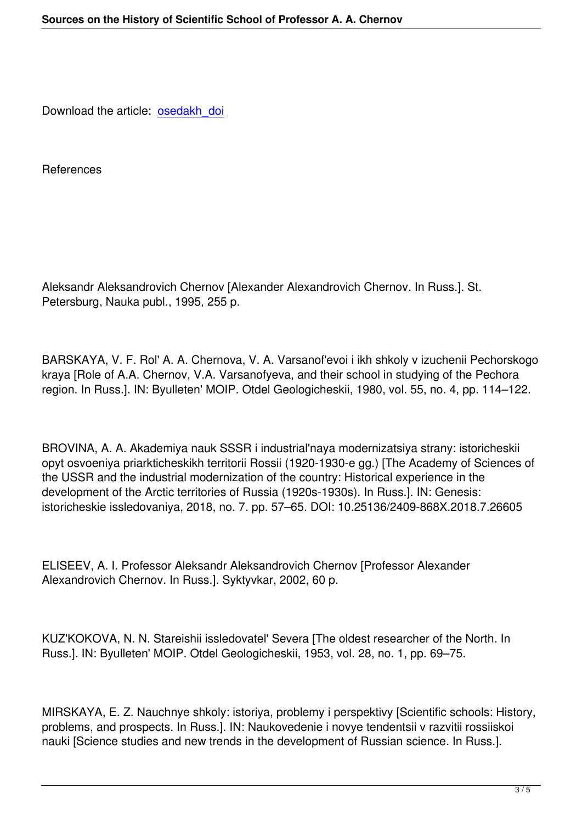Download the article: osedakh doi

**References** 

Aleksandr Aleksandrovich Chernov [Alexander Alexandrovich Chernov. In Russ.]. St. Petersburg, Nauka publ., 1995, 255 p.

BARSKAYA, V. F. Rol' A. A. Chernova, V. A. Varsanof'evoi i ikh shkoly v izuchenii Pechorskogo kraya [Role of A.A. Chernov, V.A. Varsanofyeva, and their school in studying of the Pechora region. In Russ.]. IN: Byulleten' MOIP. Otdel Geologicheskii, 1980, vol. 55, no. 4, pp. 114–122.

BROVINA, A. A. Akademiya nauk SSSR i industrial'naya modernizatsiya strany: istoricheskii opyt osvoeniya priarkticheskikh territorii Rossii (1920-1930-e gg.) [The Academy of Sciences of the USSR and the industrial modernization of the country: Historical experience in the development of the Arctic territories of Russia (1920s-1930s). In Russ.]. IN: Genesis: istoricheskie issledovaniya, 2018, no. 7. pp. 57–65. DOI: 10.25136/2409-868X.2018.7.26605

ELISEEV, A. I. Professor Aleksandr Aleksandrovich Chernov [Professor Alexander Alexandrovich Chernov. In Russ.]. Syktyvkar, 2002, 60 p.

KUZ'KOKOVA, N. N. Stareishii issledovatel' Severa [The oldest researcher of the North. In Russ.]. IN: Byulleten' MOIP. Otdel Geologicheskii, 1953, vol. 28, no. 1, pp. 69–75.

MIRSKAYA, E. Z. Nauchnye shkoly: istoriya, problemy i perspektivy [Scientific schools: History, problems, and prospects. In Russ.]. IN: Naukovedenie i novye tendentsii v razvitii rossiiskoi nauki [Science studies and new trends in the development of Russian science. In Russ.].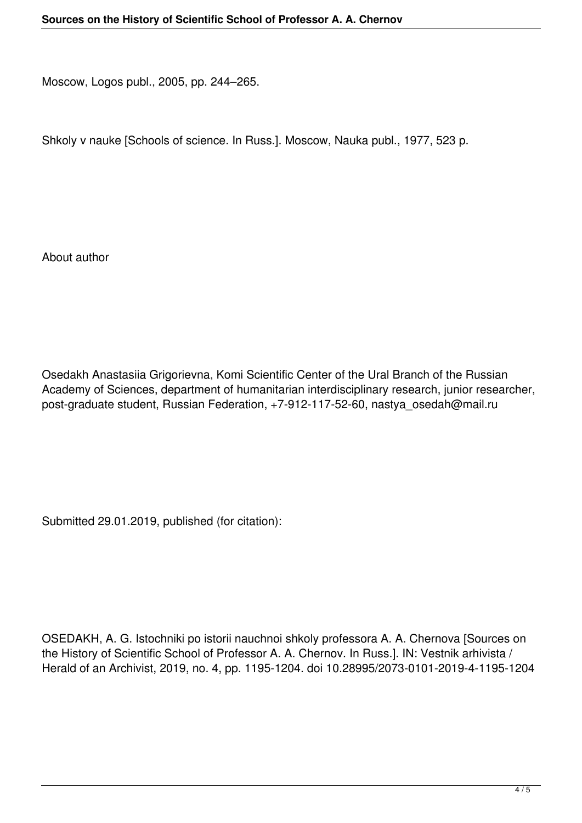Moscow, Logos publ., 2005, pp. 244–265.

Shkoly v nauke [Schools of science. In Russ.]. Moscow, Nauka publ., 1977, 523 p.

About author

Osedakh Anastasiia Grigorievna, Komi Scientific Center of the Ural Branch of the Russian Academy of Sciences, department of humanitarian interdisciplinary research, junior researcher, post-graduate student, Russian Federation, +7-912-117-52-60, nastya\_osedah@mail.ru

Submitted 29.01.2019, published (for citation):

OSEDAKH, A. G. Istochniki po istorii nauchnoi shkoly professora A. A. Chernova [Sources on the History of Scientific School of Professor A. A. Chernov. In Russ.]. IN: Vestnik arhivista / Herald of an Archivist, 2019, no. 4, pp. 1195-1204. doi 10.28995/2073-0101-2019-4-1195-1204